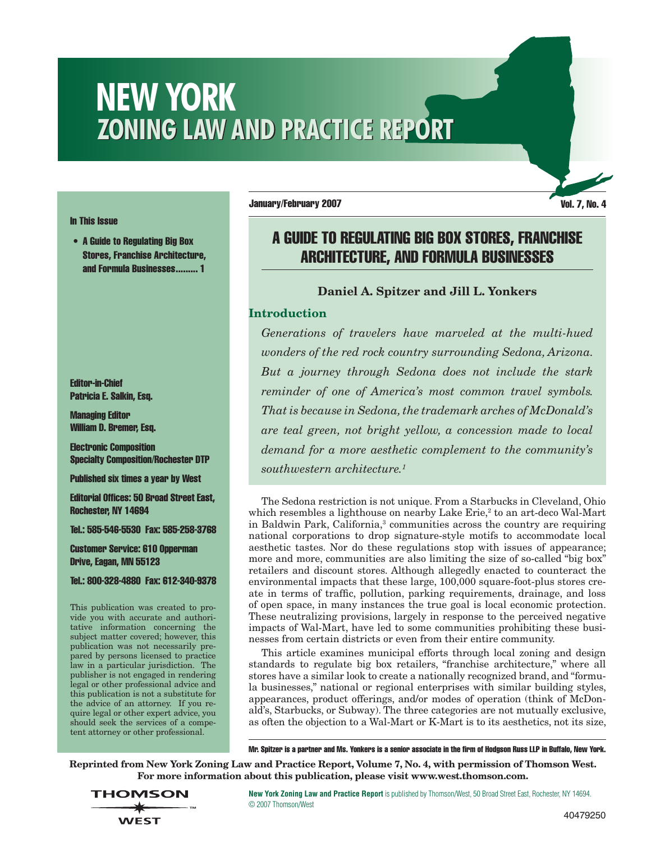# **NEW YORK ZONING LAW AND PRACTICE REPORT**

#### In This Issue

• A Guide to Regulating Big Box Stores, Franchise Architecture, and Formula Businesses......... 1

Editor-in-Chief Patricia E. Salkin, Esq.

Managing Editor William D. Bremer, Esq.

Electronic Composition Specialty Composition/Rochester DTP

Published six times a year by West

Editorial Offices: 50 Broad Street East, Rochester, NY 14694

Tel.: 585-546-5530 Fax: 585-258-3768

Customer Service: 610 Opperman Drive, Eagan, MN 55123

Tel.: 800-328-4880 Fax: 612-340-9378

This publication was created to provide you with accurate and authoritative information concerning the subject matter covered; however, this publication was not necessarily prepared by persons licensed to practice law in a particular jurisdiction. The publisher is not engaged in rendering legal or other professional advice and this publication is not a substitute for the advice of an attorney. If you require legal or other expert advice, you should seek the services of a competent attorney or other professional.

January/February 2007 vol. 7, No. 4

# A Guide to Regulating Big Box Stores, Franchise Architecture, and Formula Businesses

# **Daniel A. Spitzer and Jill L. Yonkers**

# **Introduction**

*Generations of travelers have marveled at the multi-hued wonders of the red rock country surrounding Sedona, Arizona. But a journey through Sedona does not include the stark reminder of one of America's most common travel symbols. That is because in Sedona, the trademark arches of McDonald's are teal green, not bright yellow, a concession made to local demand for a more aesthetic complement to the community's southwestern architecture.1*

The Sedona restriction is not unique. From a Starbucks in Cleveland, Ohio which resembles a lighthouse on nearby Lake Erie,<sup>2</sup> to an art-deco Wal-Mart in Baldwin Park, California,<sup>3</sup> communities across the country are requiring national corporations to drop signature-style motifs to accommodate local aesthetic tastes. Nor do these regulations stop with issues of appearance; more and more, communities are also limiting the size of so-called "big box" retailers and discount stores. Although allegedly enacted to counteract the environmental impacts that these large, 100,000 square-foot-plus stores create in terms of traffic, pollution, parking requirements, drainage, and loss of open space, in many instances the true goal is local economic protection. These neutralizing provisions, largely in response to the perceived negative impacts of Wal-Mart, have led to some communities prohibiting these businesses from certain districts or even from their entire community.

This article examines municipal efforts through local zoning and design standards to regulate big box retailers, "franchise architecture," where all stores have a similar look to create a nationally recognized brand, and "formula businesses," national or regional enterprises with similar building styles, appearances, product offerings, and/or modes of operation (think of McDonald's, Starbucks, or Subway). The three categories are not mutually exclusive, as often the objection to a Wal-Mart or K-Mart is to its aesthetics, not its size,

Mr. Spitzer is a partner and Ms. Yonkers is a senior associate in the firm of Hodgson Russ LLP in Buffalo, New York.

**Reprinted from New York Zoning Law and Practice Report, Volume 7, No. 4, with permission of Thomson West. For more information about this publication, please visit www.west.thomson.com.**

**THOMSON WEST** 

**New York Zoning Law and Practice Report** is published by Thomson/West, 50 Broad Street East, Rochester, NY 14694. © 2007 Thomson/West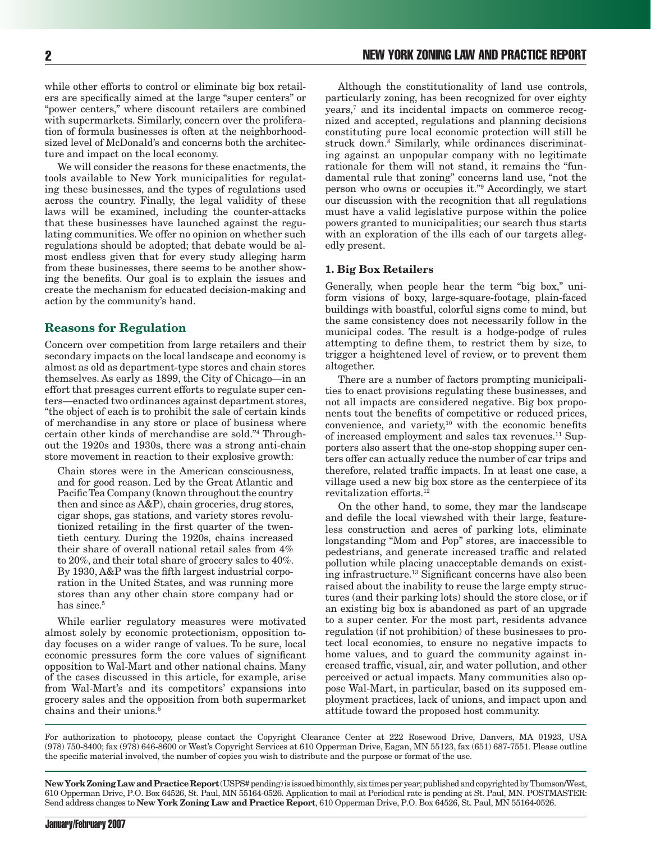while other efforts to control or eliminate big box retailers are specifically aimed at the large "super centers" or "power centers," where discount retailers are combined with supermarkets. Similarly, concern over the proliferation of formula businesses is often at the neighborhoodsized level of McDonald's and concerns both the architecture and impact on the local economy.

We will consider the reasons for these enactments, the tools available to New York municipalities for regulating these businesses, and the types of regulations used across the country. Finally, the legal validity of these laws will be examined, including the counter-attacks that these businesses have launched against the regulating communities. We offer no opinion on whether such regulations should be adopted; that debate would be almost endless given that for every study alleging harm from these businesses, there seems to be another showing the benefits. Our goal is to explain the issues and create the mechanism for educated decision-making and action by the community's hand.

#### **Reasons for Regulation**

Concern over competition from large retailers and their secondary impacts on the local landscape and economy is almost as old as department-type stores and chain stores themselves. As early as 1899, the City of Chicago—in an effort that presages current efforts to regulate super centers—enacted two ordinances against department stores, "the object of each is to prohibit the sale of certain kinds of merchandise in any store or place of business where certain other kinds of merchandise are sold."4 Throughout the 1920s and 1930s, there was a strong anti-chain store movement in reaction to their explosive growth:

Chain stores were in the American consciousness, and for good reason. Led by the Great Atlantic and Pacific Tea Company (known throughout the country then and since as A&P), chain groceries, drug stores, cigar shops, gas stations, and variety stores revolutionized retailing in the first quarter of the twentieth century. During the 1920s, chains increased their share of overall national retail sales from 4% to 20%, and their total share of grocery sales to 40%. By 1930, A&P was the fifth largest industrial corporation in the United States, and was running more stores than any other chain store company had or has since.<sup>5</sup>

While earlier regulatory measures were motivated almost solely by economic protectionism, opposition today focuses on a wider range of values. To be sure, local economic pressures form the core values of significant opposition to Wal-Mart and other national chains. Many of the cases discussed in this article, for example, arise from Wal-Mart's and its competitors' expansions into grocery sales and the opposition from both supermarket chains and their unions.6

Although the constitutionality of land use controls, particularly zoning, has been recognized for over eighty years,7 and its incidental impacts on commerce recognized and accepted, regulations and planning decisions constituting pure local economic protection will still be struck down.<sup>8</sup> Similarly, while ordinances discriminating against an unpopular company with no legitimate rationale for them will not stand, it remains the "fundamental rule that zoning" concerns land use, "not the person who owns or occupies it."9 Accordingly, we start our discussion with the recognition that all regulations must have a valid legislative purpose within the police powers granted to municipalities; our search thus starts with an exploration of the ills each of our targets allegedly present.

#### **1. Big Box Retailers**

Generally, when people hear the term "big box," uniform visions of boxy, large-square-footage, plain-faced buildings with boastful, colorful signs come to mind, but the same consistency does not necessarily follow in the municipal codes. The result is a hodge-podge of rules attempting to define them, to restrict them by size, to trigger a heightened level of review, or to prevent them altogether.

There are a number of factors prompting municipalities to enact provisions regulating these businesses, and not all impacts are considered negative. Big box proponents tout the benefits of competitive or reduced prices, convenience, and variety,<sup>10</sup> with the economic benefits of increased employment and sales tax revenues.11 Supporters also assert that the one-stop shopping super centers offer can actually reduce the number of car trips and therefore, related traffic impacts. In at least one case, a village used a new big box store as the centerpiece of its revitalization efforts.12

On the other hand, to some, they mar the landscape and defile the local viewshed with their large, featureless construction and acres of parking lots, eliminate longstanding "Mom and Pop" stores, are inaccessible to pedestrians, and generate increased traffic and related pollution while placing unacceptable demands on existing infrastructure.13 Significant concerns have also been raised about the inability to reuse the large empty structures (and their parking lots) should the store close, or if an existing big box is abandoned as part of an upgrade to a super center. For the most part, residents advance regulation (if not prohibition) of these businesses to protect local economies, to ensure no negative impacts to home values, and to guard the community against increased traffic, visual, air, and water pollution, and other perceived or actual impacts. Many communities also oppose Wal-Mart, in particular, based on its supposed employment practices, lack of unions, and impact upon and attitude toward the proposed host community.

For authorization to photocopy, please contact the Copyright Clearance Center at 222 Rosewood Drive, Danvers, MA 01923, USA (978) 750-8400; fax (978) 646-8600 or West's Copyright Services at 610 Opperman Drive, Eagan, MN 55123, fax (651) 687-7551. Please outline the specific material involved, the number of copies you wish to distribute and the purpose or format of the use.

**New York Zoning Law and Practice Report** (USPS# pending) is issued bimonthly, six times per year; published and copyrighted by Thomson/West, 610 Opperman Drive, P.O. Box 64526, St. Paul, MN 55164-0526. Application to mail at Periodical rate is pending at St. Paul, MN. POSTMASTER: Send address changes to **New York Zoning Law and Practice Report**, 610 Opperman Drive, P.O. Box 64526, St. Paul, MN 55164-0526.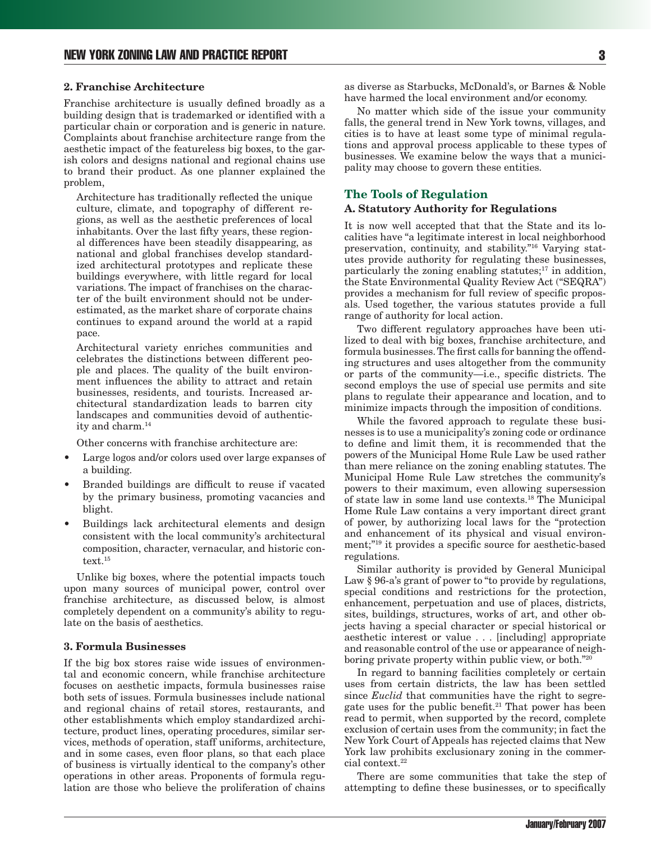#### **2. Franchise Architecture**

Franchise architecture is usually defined broadly as a building design that is trademarked or identified with a particular chain or corporation and is generic in nature. Complaints about franchise architecture range from the aesthetic impact of the featureless big boxes, to the garish colors and designs national and regional chains use to brand their product. As one planner explained the problem,

Architecture has traditionally reflected the unique culture, climate, and topography of different regions, as well as the aesthetic preferences of local inhabitants. Over the last fifty years, these regional differences have been steadily disappearing, as national and global franchises develop standardized architectural prototypes and replicate these buildings everywhere, with little regard for local variations. The impact of franchises on the character of the built environment should not be underestimated, as the market share of corporate chains continues to expand around the world at a rapid pace.

Architectural variety enriches communities and celebrates the distinctions between different people and places. The quality of the built environment influences the ability to attract and retain businesses, residents, and tourists. Increased architectural standardization leads to barren city landscapes and communities devoid of authenticity and charm.14

Other concerns with franchise architecture are:

- Large logos and/or colors used over large expanses of a building.
- Branded buildings are difficult to reuse if vacated by the primary business, promoting vacancies and blight.
- Buildings lack architectural elements and design consistent with the local community's architectural composition, character, vernacular, and historic context.<sup>15</sup>

Unlike big boxes, where the potential impacts touch upon many sources of municipal power, control over franchise architecture, as discussed below, is almost completely dependent on a community's ability to regulate on the basis of aesthetics.

#### **3. Formula Businesses**

If the big box stores raise wide issues of environmental and economic concern, while franchise architecture focuses on aesthetic impacts, formula businesses raise both sets of issues. Formula businesses include national and regional chains of retail stores, restaurants, and other establishments which employ standardized architecture, product lines, operating procedures, similar services, methods of operation, staff uniforms, architecture, and in some cases, even floor plans, so that each place of business is virtually identical to the company's other operations in other areas. Proponents of formula regulation are those who believe the proliferation of chains

as diverse as Starbucks, McDonald's, or Barnes & Noble have harmed the local environment and/or economy.

No matter which side of the issue your community falls, the general trend in New York towns, villages, and cities is to have at least some type of minimal regulations and approval process applicable to these types of businesses. We examine below the ways that a municipality may choose to govern these entities.

#### **The Tools of Regulation**

#### **A. Statutory Authority for Regulations**

It is now well accepted that that the State and its localities have "a legitimate interest in local neighborhood preservation, continuity, and stability."16 Varying statutes provide authority for regulating these businesses, particularly the zoning enabling statutes;<sup>17</sup> in addition, the State Environmental Quality Review Act ("SEQRA") provides a mechanism for full review of specific proposals. Used together, the various statutes provide a full range of authority for local action.

Two different regulatory approaches have been utilized to deal with big boxes, franchise architecture, and formula businesses. The first calls for banning the offending structures and uses altogether from the community or parts of the community—i.e., specific districts. The second employs the use of special use permits and site plans to regulate their appearance and location, and to minimize impacts through the imposition of conditions.

While the favored approach to regulate these businesses is to use a municipality's zoning code or ordinance to define and limit them, it is recommended that the powers of the Municipal Home Rule Law be used rather than mere reliance on the zoning enabling statutes. The Municipal Home Rule Law stretches the community's powers to their maximum, even allowing supersession of state law in some land use contexts.18 The Municipal Home Rule Law contains a very important direct grant of power, by authorizing local laws for the "protection and enhancement of its physical and visual environment;"<sup>19</sup> it provides a specific source for aesthetic-based regulations.

Similar authority is provided by General Municipal Law § 96-a's grant of power to "to provide by regulations, special conditions and restrictions for the protection, enhancement, perpetuation and use of places, districts, sites, buildings, structures, works of art, and other objects having a special character or special historical or aesthetic interest or value . . . [including] appropriate and reasonable control of the use or appearance of neighboring private property within public view, or both."20

In regard to banning facilities completely or certain uses from certain districts, the law has been settled since *Euclid* that communities have the right to segregate uses for the public benefit.<sup>21</sup> That power has been read to permit, when supported by the record, complete exclusion of certain uses from the community; in fact the New York Court of Appeals has rejected claims that New York law prohibits exclusionary zoning in the commercial context.<sup>22</sup>

There are some communities that take the step of attempting to define these businesses, or to specifically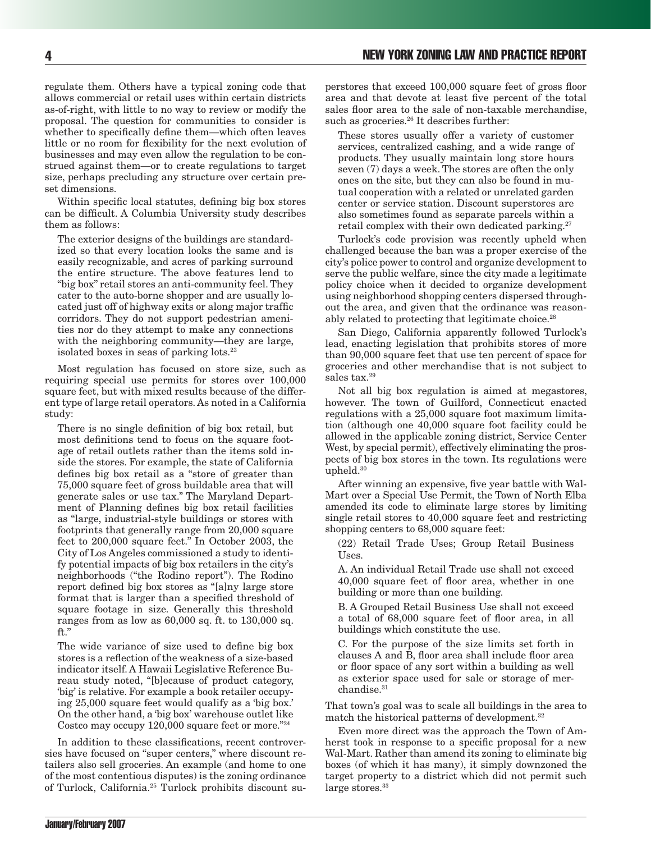regulate them. Others have a typical zoning code that allows commercial or retail uses within certain districts as-of-right, with little to no way to review or modify the proposal. The question for communities to consider is whether to specifically define them—which often leaves little or no room for flexibility for the next evolution of businesses and may even allow the regulation to be construed against them—or to create regulations to target size, perhaps precluding any structure over certain preset dimensions.

Within specific local statutes, defining big box stores can be difficult. A Columbia University study describes them as follows:

The exterior designs of the buildings are standardized so that every location looks the same and is easily recognizable, and acres of parking surround the entire structure. The above features lend to "big box" retail stores an anti-community feel. They cater to the auto-borne shopper and are usually located just off of highway exits or along major traffic corridors. They do not support pedestrian amenities nor do they attempt to make any connections with the neighboring community—they are large, isolated boxes in seas of parking lots.23

Most regulation has focused on store size, such as requiring special use permits for stores over 100,000 square feet, but with mixed results because of the different type of large retail operators. As noted in a California study:

There is no single definition of big box retail, but most definitions tend to focus on the square footage of retail outlets rather than the items sold inside the stores. For example, the state of California defines big box retail as a "store of greater than 75,000 square feet of gross buildable area that will generate sales or use tax." The Maryland Department of Planning defines big box retail facilities as "large, industrial-style buildings or stores with footprints that generally range from 20,000 square feet to 200,000 square feet." In October 2003, the City of Los Angeles commissioned a study to identify potential impacts of big box retailers in the city's neighborhoods ("the Rodino report"). The Rodino report defined big box stores as "[a]ny large store format that is larger than a specified threshold of square footage in size. Generally this threshold ranges from as low as 60,000 sq. ft. to 130,000 sq. ft."

The wide variance of size used to define big box stores is a reflection of the weakness of a size-based indicator itself. A Hawaii Legislative Reference Bureau study noted, "[b]ecause of product category, 'big' is relative. For example a book retailer occupying 25,000 square feet would qualify as a 'big box.' On the other hand, a 'big box' warehouse outlet like Costco may occupy 120,000 square feet or more."24

In addition to these classifications, recent controversies have focused on "super centers," where discount retailers also sell groceries. An example (and home to one of the most contentious disputes) is the zoning ordinance of Turlock, California.25 Turlock prohibits discount superstores that exceed 100,000 square feet of gross floor area and that devote at least five percent of the total sales floor area to the sale of non-taxable merchandise, such as groceries. $26$  It describes further:

These stores usually offer a variety of customer services, centralized cashing, and a wide range of products. They usually maintain long store hours seven (7) days a week. The stores are often the only ones on the site, but they can also be found in mutual cooperation with a related or unrelated garden center or service station. Discount superstores are also sometimes found as separate parcels within a retail complex with their own dedicated parking.<sup>27</sup>

Turlock's code provision was recently upheld when challenged because the ban was a proper exercise of the city's police power to control and organize development to serve the public welfare, since the city made a legitimate policy choice when it decided to organize development using neighborhood shopping centers dispersed throughout the area, and given that the ordinance was reasonably related to protecting that legitimate choice.<sup>28</sup>

San Diego, California apparently followed Turlock's lead, enacting legislation that prohibits stores of more than 90,000 square feet that use ten percent of space for groceries and other merchandise that is not subject to sales tax.<sup>29</sup>

Not all big box regulation is aimed at megastores, however. The town of Guilford, Connecticut enacted regulations with a 25,000 square foot maximum limitation (although one 40,000 square foot facility could be allowed in the applicable zoning district, Service Center West, by special permit), effectively eliminating the prospects of big box stores in the town. Its regulations were upheld.30

After winning an expensive, five year battle with Wal-Mart over a Special Use Permit, the Town of North Elba amended its code to eliminate large stores by limiting single retail stores to 40,000 square feet and restricting shopping centers to 68,000 square feet:

(22) Retail Trade Uses; Group Retail Business Uses.

A. An individual Retail Trade use shall not exceed 40,000 square feet of floor area, whether in one building or more than one building.

B. A Grouped Retail Business Use shall not exceed a total of 68,000 square feet of floor area, in all buildings which constitute the use.

C. For the purpose of the size limits set forth in clauses A and B, floor area shall include floor area or floor space of any sort within a building as well as exterior space used for sale or storage of merchandise.<sup>31</sup>

That town's goal was to scale all buildings in the area to match the historical patterns of development.32

Even more direct was the approach the Town of Amherst took in response to a specific proposal for a new Wal-Mart. Rather than amend its zoning to eliminate big boxes (of which it has many), it simply downzoned the target property to a district which did not permit such large stores.<sup>33</sup>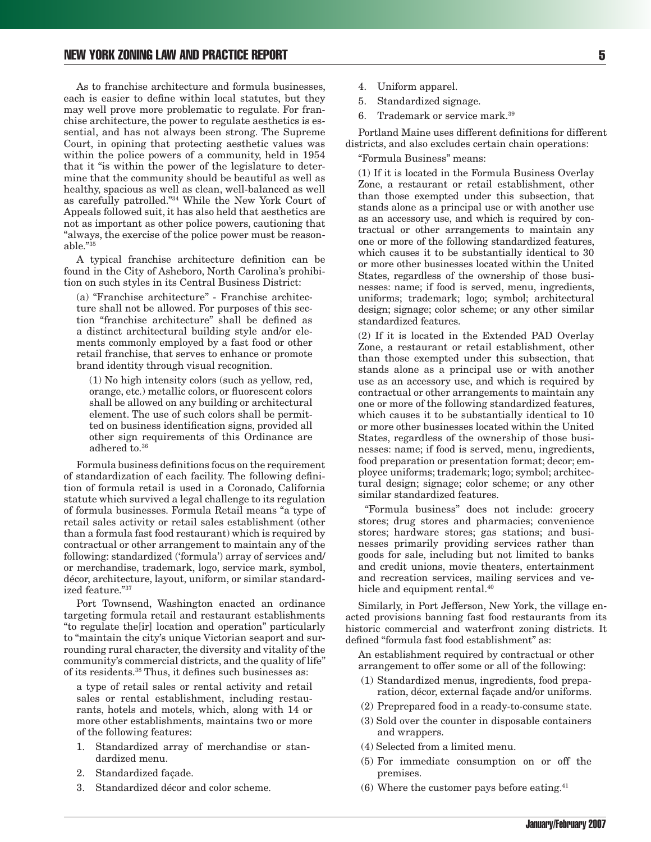As to franchise architecture and formula businesses, each is easier to define within local statutes, but they may well prove more problematic to regulate. For franchise architecture, the power to regulate aesthetics is essential, and has not always been strong. The Supreme Court, in opining that protecting aesthetic values was within the police powers of a community, held in 1954 that it "is within the power of the legislature to determine that the community should be beautiful as well as healthy, spacious as well as clean, well-balanced as well as carefully patrolled."34 While the New York Court of Appeals followed suit, it has also held that aesthetics are not as important as other police powers, cautioning that "always, the exercise of the police power must be reasonable."35

A typical franchise architecture definition can be found in the City of Asheboro, North Carolina's prohibition on such styles in its Central Business District:

(a) "Franchise architecture" - Franchise architecture shall not be allowed. For purposes of this section "franchise architecture" shall be defined as a distinct architectural building style and/or elements commonly employed by a fast food or other retail franchise, that serves to enhance or promote brand identity through visual recognition.

(1) No high intensity colors (such as yellow, red, orange, etc.) metallic colors, or fluorescent colors shall be allowed on any building or architectural element. The use of such colors shall be permitted on business identification signs, provided all other sign requirements of this Ordinance are adhered to.36

Formula business definitions focus on the requirement of standardization of each facility. The following definition of formula retail is used in a Coronado, California statute which survived a legal challenge to its regulation of formula businesses. Formula Retail means "a type of retail sales activity or retail sales establishment (other than a formula fast food restaurant) which is required by contractual or other arrangement to maintain any of the following: standardized ('formula') array of services and/ or merchandise, trademark, logo, service mark, symbol, décor, architecture, layout, uniform, or similar standardized feature."37

Port Townsend, Washington enacted an ordinance targeting formula retail and restaurant establishments "to regulate the[ir] location and operation" particularly to "maintain the city's unique Victorian seaport and surrounding rural character, the diversity and vitality of the community's commercial districts, and the quality of life" of its residents.38 Thus, it defines such businesses as:

a type of retail sales or rental activity and retail sales or rental establishment, including restaurants, hotels and motels, which, along with 14 or more other establishments, maintains two or more of the following features:

- 1. Standardized array of merchandise or standardized menu.
- 2. Standardized façade.
- 3. Standardized décor and color scheme.
- 4. Uniform apparel.
- 5. Standardized signage.
- 6. Trademark or service mark.39

Portland Maine uses different definitions for different districts, and also excludes certain chain operations:

"Formula Business" means:

(1) If it is located in the Formula Business Overlay Zone, a restaurant or retail establishment, other than those exempted under this subsection, that stands alone as a principal use or with another use as an accessory use, and which is required by contractual or other arrangements to maintain any one or more of the following standardized features, which causes it to be substantially identical to 30 or more other businesses located within the United States, regardless of the ownership of those businesses: name; if food is served, menu, ingredients, uniforms; trademark; logo; symbol; architectural design; signage; color scheme; or any other similar standardized features.

(2) If it is located in the Extended PAD Overlay Zone, a restaurant or retail establishment, other than those exempted under this subsection, that stands alone as a principal use or with another use as an accessory use, and which is required by contractual or other arrangements to maintain any one or more of the following standardized features, which causes it to be substantially identical to 10 or more other businesses located within the United States, regardless of the ownership of those businesses: name; if food is served, menu, ingredients, food preparation or presentation format; decor; employee uniforms; trademark; logo; symbol; architectural design; signage; color scheme; or any other similar standardized features.

 "Formula business" does not include: grocery stores; drug stores and pharmacies; convenience stores; hardware stores; gas stations; and businesses primarily providing services rather than goods for sale, including but not limited to banks and credit unions, movie theaters, entertainment and recreation services, mailing services and vehicle and equipment rental.<sup>40</sup>

Similarly, in Port Jefferson, New York, the village enacted provisions banning fast food restaurants from its historic commercial and waterfront zoning districts. It defined "formula fast food establishment" as:

An establishment required by contractual or other arrangement to offer some or all of the following:

- (1) Standardized menus, ingredients, food preparation, décor, external façade and/or uniforms.
- (2) Preprepared food in a ready-to-consume state.
- (3) Sold over the counter in disposable containers and wrappers.
- (4) Selected from a limited menu.
- (5) For immediate consumption on or off the premises.
- $(6)$  Where the customer pays before eating.<sup>41</sup>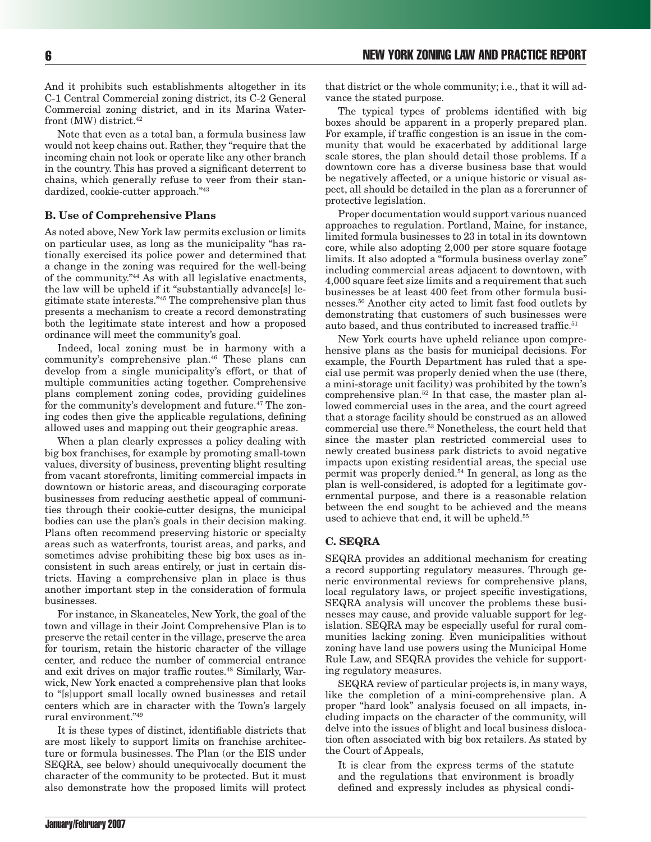And it prohibits such establishments altogether in its C-1 Central Commercial zoning district, its C-2 General Commercial zoning district, and in its Marina Waterfront (MW) district.<sup>42</sup>

Note that even as a total ban, a formula business law would not keep chains out. Rather, they "require that the incoming chain not look or operate like any other branch in the country. This has proved a significant deterrent to chains, which generally refuse to veer from their standardized, cookie-cutter approach."43

#### **B. Use of Comprehensive Plans**

As noted above, New York law permits exclusion or limits on particular uses, as long as the municipality "has rationally exercised its police power and determined that a change in the zoning was required for the well-being of the community."44 As with all legislative enactments, the law will be upheld if it "substantially advance[s] legitimate state interests."45 The comprehensive plan thus presents a mechanism to create a record demonstrating both the legitimate state interest and how a proposed ordinance will meet the community's goal.

Indeed, local zoning must be in harmony with a community's comprehensive plan.46 These plans can develop from a single municipality's effort, or that of multiple communities acting together. Comprehensive plans complement zoning codes, providing guidelines for the community's development and future.<sup>47</sup> The zoning codes then give the applicable regulations, defining allowed uses and mapping out their geographic areas.

When a plan clearly expresses a policy dealing with big box franchises, for example by promoting small-town values, diversity of business, preventing blight resulting from vacant storefronts, limiting commercial impacts in downtown or historic areas, and discouraging corporate businesses from reducing aesthetic appeal of communities through their cookie-cutter designs, the municipal bodies can use the plan's goals in their decision making. Plans often recommend preserving historic or specialty areas such as waterfronts, tourist areas, and parks, and sometimes advise prohibiting these big box uses as inconsistent in such areas entirely, or just in certain districts. Having a comprehensive plan in place is thus another important step in the consideration of formula businesses.

For instance, in Skaneateles, New York, the goal of the town and village in their Joint Comprehensive Plan is to preserve the retail center in the village, preserve the area for tourism, retain the historic character of the village center, and reduce the number of commercial entrance and exit drives on major traffic routes.48 Similarly, Warwick, New York enacted a comprehensive plan that looks to "[s]upport small locally owned businesses and retail centers which are in character with the Town's largely rural environment."49

It is these types of distinct, identifiable districts that are most likely to support limits on franchise architecture or formula businesses. The Plan (or the EIS under SEQRA, see below) should unequivocally document the character of the community to be protected. But it must also demonstrate how the proposed limits will protect that district or the whole community; i.e., that it will advance the stated purpose.

The typical types of problems identified with big boxes should be apparent in a properly prepared plan. For example, if traffic congestion is an issue in the community that would be exacerbated by additional large scale stores, the plan should detail those problems. If a downtown core has a diverse business base that would be negatively affected, or a unique historic or visual aspect, all should be detailed in the plan as a forerunner of protective legislation.

Proper documentation would support various nuanced approaches to regulation. Portland, Maine, for instance, limited formula businesses to 23 in total in its downtown core, while also adopting 2,000 per store square footage limits. It also adopted a "formula business overlay zone" including commercial areas adjacent to downtown, with 4,000 square feet size limits and a requirement that such businesses be at least 400 feet from other formula businesses.50 Another city acted to limit fast food outlets by demonstrating that customers of such businesses were auto based, and thus contributed to increased traffic.<sup>51</sup>

New York courts have upheld reliance upon comprehensive plans as the basis for municipal decisions. For example, the Fourth Department has ruled that a special use permit was properly denied when the use (there, a mini-storage unit facility) was prohibited by the town's comprehensive plan.52 In that case, the master plan allowed commercial uses in the area, and the court agreed that a storage facility should be construed as an allowed commercial use there.53 Nonetheless, the court held that since the master plan restricted commercial uses to newly created business park districts to avoid negative impacts upon existing residential areas, the special use permit was properly denied.54 In general, as long as the plan is well-considered, is adopted for a legitimate governmental purpose, and there is a reasonable relation between the end sought to be achieved and the means used to achieve that end, it will be upheld.<sup>55</sup>

## **C. SEQRA**

SEQRA provides an additional mechanism for creating a record supporting regulatory measures. Through generic environmental reviews for comprehensive plans, local regulatory laws, or project specific investigations, SEQRA analysis will uncover the problems these businesses may cause, and provide valuable support for legislation. SEQRA may be especially useful for rural communities lacking zoning. Even municipalities without zoning have land use powers using the Municipal Home Rule Law, and SEQRA provides the vehicle for supporting regulatory measures.

SEQRA review of particular projects is, in many ways, like the completion of a mini-comprehensive plan. A proper "hard look" analysis focused on all impacts, including impacts on the character of the community, will delve into the issues of blight and local business dislocation often associated with big box retailers. As stated by the Court of Appeals,

It is clear from the express terms of the statute and the regulations that environment is broadly defined and expressly includes as physical condi-

January/February 2007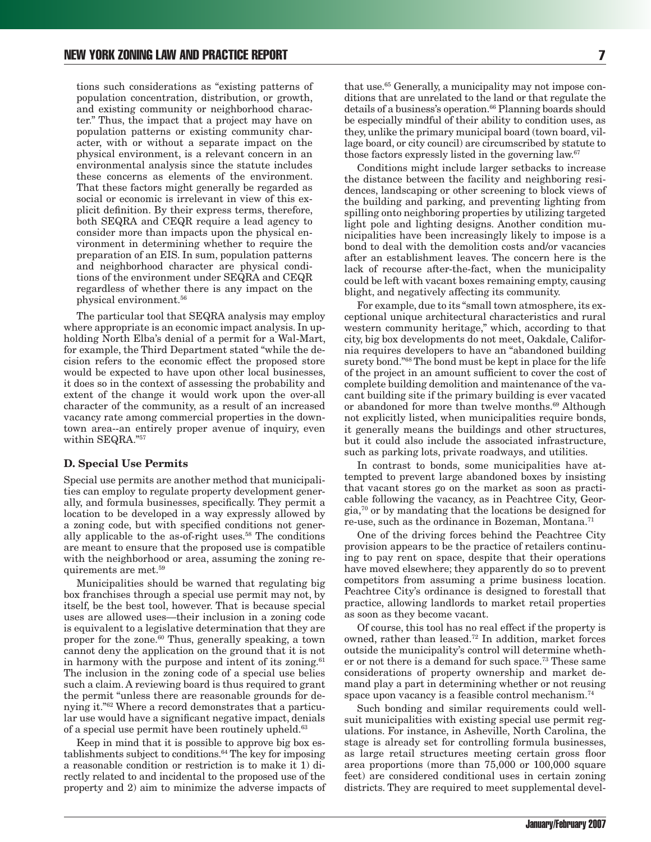tions such considerations as "existing patterns of population concentration, distribution, or growth, and existing community or neighborhood character." Thus, the impact that a project may have on population patterns or existing community character, with or without a separate impact on the physical environment, is a relevant concern in an environmental analysis since the statute includes these concerns as elements of the environment. That these factors might generally be regarded as social or economic is irrelevant in view of this explicit definition. By their express terms, therefore, both SEQRA and CEQR require a lead agency to consider more than impacts upon the physical environment in determining whether to require the preparation of an EIS. In sum, population patterns and neighborhood character are physical conditions of the environment under SEQRA and CEQR regardless of whether there is any impact on the physical environment.56

The particular tool that SEQRA analysis may employ where appropriate is an economic impact analysis. In upholding North Elba's denial of a permit for a Wal-Mart, for example, the Third Department stated "while the decision refers to the economic effect the proposed store would be expected to have upon other local businesses, it does so in the context of assessing the probability and extent of the change it would work upon the over-all character of the community, as a result of an increased vacancy rate among commercial properties in the downtown area--an entirely proper avenue of inquiry, even within SEQRA."57

#### **D. Special Use Permits**

Special use permits are another method that municipalities can employ to regulate property development generally, and formula businesses, specifically. They permit a location to be developed in a way expressly allowed by a zoning code, but with specified conditions not generally applicable to the as-of-right uses.58 The conditions are meant to ensure that the proposed use is compatible with the neighborhood or area, assuming the zoning requirements are met.59

Municipalities should be warned that regulating big box franchises through a special use permit may not, by itself, be the best tool, however. That is because special uses are allowed uses—their inclusion in a zoning code is equivalent to a legislative determination that they are proper for the zone.<sup>60</sup> Thus, generally speaking, a town cannot deny the application on the ground that it is not in harmony with the purpose and intent of its zoning. $61$ The inclusion in the zoning code of a special use belies such a claim. A reviewing board is thus required to grant the permit "unless there are reasonable grounds for denying it."62 Where a record demonstrates that a particular use would have a significant negative impact, denials of a special use permit have been routinely upheld.<sup>63</sup>

Keep in mind that it is possible to approve big box establishments subject to conditions.64 The key for imposing a reasonable condition or restriction is to make it 1) directly related to and incidental to the proposed use of the property and 2) aim to minimize the adverse impacts of that use.65 Generally, a municipality may not impose conditions that are unrelated to the land or that regulate the details of a business's operation.<sup>66</sup> Planning boards should be especially mindful of their ability to condition uses, as they, unlike the primary municipal board (town board, village board, or city council) are circumscribed by statute to those factors expressly listed in the governing law.67

Conditions might include larger setbacks to increase the distance between the facility and neighboring residences, landscaping or other screening to block views of the building and parking, and preventing lighting from spilling onto neighboring properties by utilizing targeted light pole and lighting designs. Another condition municipalities have been increasingly likely to impose is a bond to deal with the demolition costs and/or vacancies after an establishment leaves. The concern here is the lack of recourse after-the-fact, when the municipality could be left with vacant boxes remaining empty, causing blight, and negatively affecting its community.

For example, due to its "small town atmosphere, its exceptional unique architectural characteristics and rural western community heritage," which, according to that city, big box developments do not meet, Oakdale, California requires developers to have an "abandoned building surety bond."68 The bond must be kept in place for the life of the project in an amount sufficient to cover the cost of complete building demolition and maintenance of the vacant building site if the primary building is ever vacated or abandoned for more than twelve months.<sup>69</sup> Although not explicitly listed, when municipalities require bonds, it generally means the buildings and other structures, but it could also include the associated infrastructure, such as parking lots, private roadways, and utilities.

In contrast to bonds, some municipalities have attempted to prevent large abandoned boxes by insisting that vacant stores go on the market as soon as practicable following the vacancy, as in Peachtree City, Georgia,70 or by mandating that the locations be designed for re-use, such as the ordinance in Bozeman, Montana.71

One of the driving forces behind the Peachtree City provision appears to be the practice of retailers continuing to pay rent on space, despite that their operations have moved elsewhere; they apparently do so to prevent competitors from assuming a prime business location. Peachtree City's ordinance is designed to forestall that practice, allowing landlords to market retail properties as soon as they become vacant.

Of course, this tool has no real effect if the property is owned, rather than leased.72 In addition, market forces outside the municipality's control will determine whether or not there is a demand for such space.73 These same considerations of property ownership and market demand play a part in determining whether or not reusing space upon vacancy is a feasible control mechanism.<sup>74</sup>

Such bonding and similar requirements could wellsuit municipalities with existing special use permit regulations. For instance, in Asheville, North Carolina, the stage is already set for controlling formula businesses, as large retail structures meeting certain gross floor area proportions (more than 75,000 or 100,000 square feet) are considered conditional uses in certain zoning districts. They are required to meet supplemental devel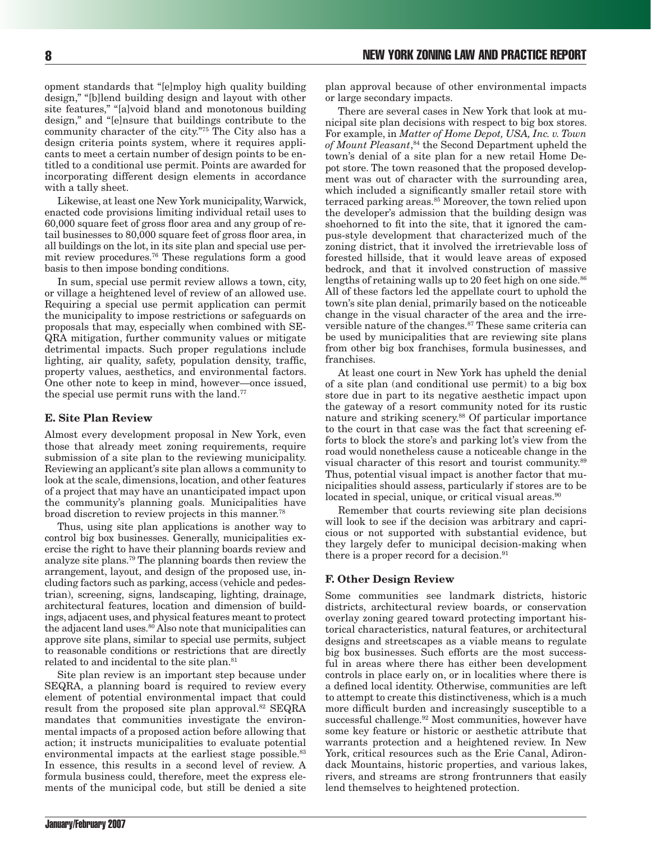opment standards that "[e]mploy high quality building design," "[b]lend building design and layout with other site features," "[a]void bland and monotonous building design," and "[e]nsure that buildings contribute to the community character of the city."75 The City also has a design criteria points system, where it requires applicants to meet a certain number of design points to be entitled to a conditional use permit. Points are awarded for incorporating different design elements in accordance with a tally sheet.

Likewise, at least one New York municipality, Warwick, enacted code provisions limiting individual retail uses to 60,000 square feet of gross floor area and any group of retail businesses to 80,000 square feet of gross floor area, in all buildings on the lot, in its site plan and special use permit review procedures.76 These regulations form a good basis to then impose bonding conditions.

In sum, special use permit review allows a town, city, or village a heightened level of review of an allowed use. Requiring a special use permit application can permit the municipality to impose restrictions or safeguards on proposals that may, especially when combined with SE-QRA mitigation, further community values or mitigate detrimental impacts. Such proper regulations include lighting, air quality, safety, population density, traffic, property values, aesthetics, and environmental factors. One other note to keep in mind, however—once issued, the special use permit runs with the land.<sup>77</sup>

#### **E. Site Plan Review**

Almost every development proposal in New York, even those that already meet zoning requirements, require submission of a site plan to the reviewing municipality. Reviewing an applicant's site plan allows a community to look at the scale, dimensions, location, and other features of a project that may have an unanticipated impact upon the community's planning goals. Municipalities have broad discretion to review projects in this manner.<sup>78</sup>

Thus, using site plan applications is another way to control big box businesses. Generally, municipalities exercise the right to have their planning boards review and analyze site plans.79 The planning boards then review the arrangement, layout, and design of the proposed use, including factors such as parking, access (vehicle and pedestrian), screening, signs, landscaping, lighting, drainage, architectural features, location and dimension of buildings, adjacent uses, and physical features meant to protect the adjacent land uses.80 Also note that municipalities can approve site plans, similar to special use permits, subject to reasonable conditions or restrictions that are directly related to and incidental to the site plan.<sup>81</sup>

Site plan review is an important step because under SEQRA, a planning board is required to review every element of potential environmental impact that could result from the proposed site plan approval.<sup>82</sup> SEQRA mandates that communities investigate the environmental impacts of a proposed action before allowing that action; it instructs municipalities to evaluate potential environmental impacts at the earliest stage possible.<sup>83</sup> In essence, this results in a second level of review. A formula business could, therefore, meet the express elements of the municipal code, but still be denied a site

plan approval because of other environmental impacts or large secondary impacts.

There are several cases in New York that look at municipal site plan decisions with respect to big box stores. For example, in *Matter of Home Depot, USA, Inc. v. Town of Mount Pleasant*, 84 the Second Department upheld the town's denial of a site plan for a new retail Home Depot store. The town reasoned that the proposed development was out of character with the surrounding area, which included a significantly smaller retail store with terraced parking areas.<sup>85</sup> Moreover, the town relied upon the developer's admission that the building design was shoehorned to fit into the site, that it ignored the campus-style development that characterized much of the zoning district, that it involved the irretrievable loss of forested hillside, that it would leave areas of exposed bedrock, and that it involved construction of massive lengths of retaining walls up to 20 feet high on one side. $86$ All of these factors led the appellate court to uphold the town's site plan denial, primarily based on the noticeable change in the visual character of the area and the irreversible nature of the changes.<sup>87</sup> These same criteria can be used by municipalities that are reviewing site plans from other big box franchises, formula businesses, and franchises.

At least one court in New York has upheld the denial of a site plan (and conditional use permit) to a big box store due in part to its negative aesthetic impact upon the gateway of a resort community noted for its rustic nature and striking scenery.<sup>88</sup> Of particular importance to the court in that case was the fact that screening efforts to block the store's and parking lot's view from the road would nonetheless cause a noticeable change in the visual character of this resort and tourist community.89 Thus, potential visual impact is another factor that municipalities should assess, particularly if stores are to be located in special, unique, or critical visual areas.<sup>90</sup>

Remember that courts reviewing site plan decisions will look to see if the decision was arbitrary and capricious or not supported with substantial evidence, but they largely defer to municipal decision-making when there is a proper record for a decision.<sup>91</sup>

#### **F. Other Design Review**

Some communities see landmark districts, historic districts, architectural review boards, or conservation overlay zoning geared toward protecting important historical characteristics, natural features, or architectural designs and streetscapes as a viable means to regulate big box businesses. Such efforts are the most successful in areas where there has either been development controls in place early on, or in localities where there is a defined local identity. Otherwise, communities are left to attempt to create this distinctiveness, which is a much more difficult burden and increasingly susceptible to a successful challenge.92 Most communities, however have some key feature or historic or aesthetic attribute that warrants protection and a heightened review. In New York, critical resources such as the Erie Canal, Adirondack Mountains, historic properties, and various lakes, rivers, and streams are strong frontrunners that easily lend themselves to heightened protection.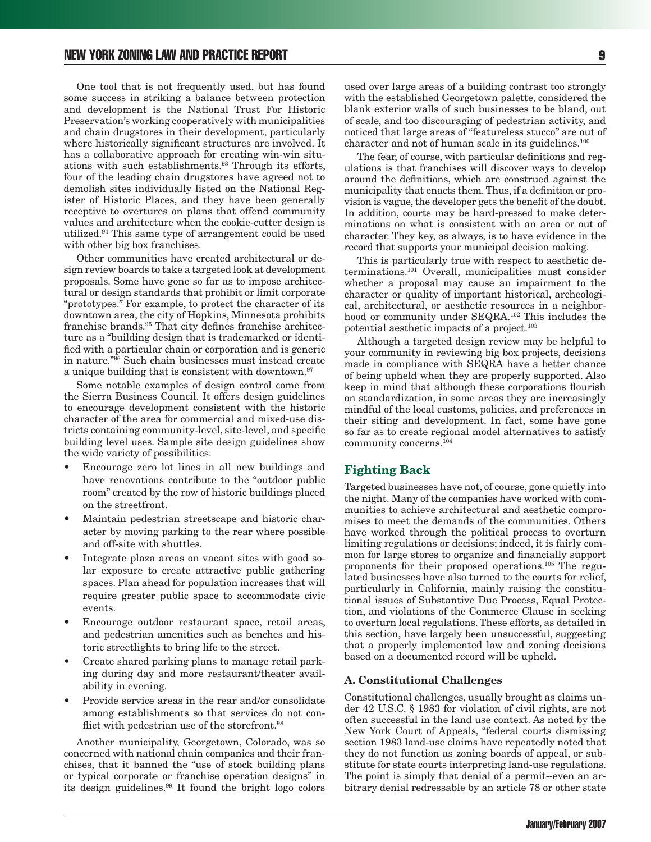One tool that is not frequently used, but has found some success in striking a balance between protection and development is the National Trust For Historic Preservation's working cooperatively with municipalities and chain drugstores in their development, particularly where historically significant structures are involved. It has a collaborative approach for creating win-win situations with such establishments.93 Through its efforts, four of the leading chain drugstores have agreed not to demolish sites individually listed on the National Register of Historic Places, and they have been generally receptive to overtures on plans that offend community values and architecture when the cookie-cutter design is utilized.94 This same type of arrangement could be used with other big box franchises.

Other communities have created architectural or design review boards to take a targeted look at development proposals. Some have gone so far as to impose architectural or design standards that prohibit or limit corporate "prototypes." For example, to protect the character of its downtown area, the city of Hopkins, Minnesota prohibits franchise brands.95 That city defines franchise architecture as a "building design that is trademarked or identified with a particular chain or corporation and is generic in nature."96 Such chain businesses must instead create a unique building that is consistent with downtown.97

Some notable examples of design control come from the Sierra Business Council. It offers design guidelines to encourage development consistent with the historic character of the area for commercial and mixed-use districts containing community-level, site-level, and specific building level uses. Sample site design guidelines show the wide variety of possibilities:

- Encourage zero lot lines in all new buildings and have renovations contribute to the "outdoor public room" created by the row of historic buildings placed on the streetfront.
- Maintain pedestrian streetscape and historic character by moving parking to the rear where possible and off-site with shuttles.
- Integrate plaza areas on vacant sites with good solar exposure to create attractive public gathering spaces. Plan ahead for population increases that will require greater public space to accommodate civic events.
- Encourage outdoor restaurant space, retail areas, and pedestrian amenities such as benches and historic streetlights to bring life to the street.
- Create shared parking plans to manage retail parking during day and more restaurant/theater availability in evening.
- Provide service areas in the rear and/or consolidate among establishments so that services do not conflict with pedestrian use of the storefront.<sup>98</sup>

Another municipality, Georgetown, Colorado, was so concerned with national chain companies and their franchises, that it banned the "use of stock building plans or typical corporate or franchise operation designs" in its design guidelines.99 It found the bright logo colors used over large areas of a building contrast too strongly with the established Georgetown palette, considered the blank exterior walls of such businesses to be bland, out of scale, and too discouraging of pedestrian activity, and noticed that large areas of "featureless stucco" are out of character and not of human scale in its guidelines.<sup>100</sup>

The fear, of course, with particular definitions and regulations is that franchises will discover ways to develop around the definitions, which are construed against the municipality that enacts them. Thus, if a definition or provision is vague, the developer gets the benefit of the doubt. In addition, courts may be hard-pressed to make determinations on what is consistent with an area or out of character. They key, as always, is to have evidence in the record that supports your municipal decision making.

This is particularly true with respect to aesthetic determinations.101 Overall, municipalities must consider whether a proposal may cause an impairment to the character or quality of important historical, archeological, architectural, or aesthetic resources in a neighborhood or community under SEQRA.<sup>102</sup> This includes the potential aesthetic impacts of a project.103

Although a targeted design review may be helpful to your community in reviewing big box projects, decisions made in compliance with SEQRA have a better chance of being upheld when they are properly supported. Also keep in mind that although these corporations flourish on standardization, in some areas they are increasingly mindful of the local customs, policies, and preferences in their siting and development. In fact, some have gone so far as to create regional model alternatives to satisfy community concerns.104

#### **Fighting Back**

Targeted businesses have not, of course, gone quietly into the night. Many of the companies have worked with communities to achieve architectural and aesthetic compromises to meet the demands of the communities. Others have worked through the political process to overturn limiting regulations or decisions; indeed, it is fairly common for large stores to organize and financially support proponents for their proposed operations.105 The regulated businesses have also turned to the courts for relief, particularly in California, mainly raising the constitutional issues of Substantive Due Process, Equal Protection, and violations of the Commerce Clause in seeking to overturn local regulations. These efforts, as detailed in this section, have largely been unsuccessful, suggesting that a properly implemented law and zoning decisions based on a documented record will be upheld.

#### **A. Constitutional Challenges**

Constitutional challenges, usually brought as claims under 42 U.S.C. § 1983 for violation of civil rights, are not often successful in the land use context. As noted by the New York Court of Appeals, "federal courts dismissing section 1983 land-use claims have repeatedly noted that they do not function as zoning boards of appeal, or substitute for state courts interpreting land-use regulations. The point is simply that denial of a permit--even an arbitrary denial redressable by an article 78 or other state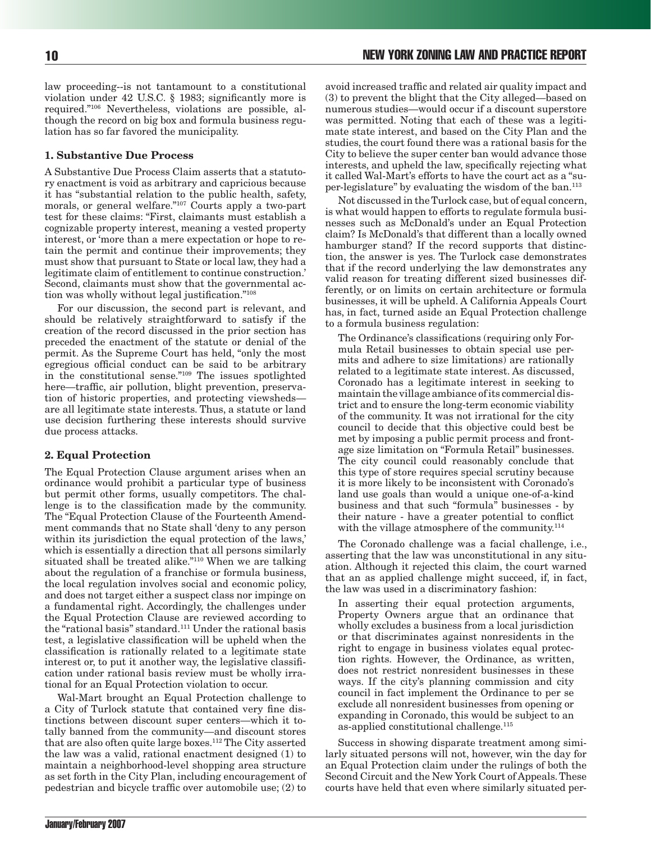law proceeding--is not tantamount to a constitutional violation under 42 U.S.C. § 1983; significantly more is required."106 Nevertheless, violations are possible, although the record on big box and formula business regulation has so far favored the municipality.

#### **1. Substantive Due Process**

A Substantive Due Process Claim asserts that a statutory enactment is void as arbitrary and capricious because it has "substantial relation to the public health, safety, morals, or general welfare."107 Courts apply a two-part test for these claims: "First, claimants must establish a cognizable property interest, meaning a vested property interest, or 'more than a mere expectation or hope to retain the permit and continue their improvements; they must show that pursuant to State or local law, they had a legitimate claim of entitlement to continue construction.' Second, claimants must show that the governmental action was wholly without legal justification."108

For our discussion, the second part is relevant, and should be relatively straightforward to satisfy if the creation of the record discussed in the prior section has preceded the enactment of the statute or denial of the permit. As the Supreme Court has held, "only the most egregious official conduct can be said to be arbitrary in the constitutional sense."109 The issues spotlighted here—traffic, air pollution, blight prevention, preservation of historic properties, and protecting viewsheds are all legitimate state interests. Thus, a statute or land use decision furthering these interests should survive due process attacks.

#### **2. Equal Protection**

The Equal Protection Clause argument arises when an ordinance would prohibit a particular type of business but permit other forms, usually competitors. The challenge is to the classification made by the community. The "Equal Protection Clause of the Fourteenth Amendment commands that no State shall 'deny to any person within its jurisdiction the equal protection of the laws,' which is essentially a direction that all persons similarly situated shall be treated alike."110 When we are talking about the regulation of a franchise or formula business, the local regulation involves social and economic policy, and does not target either a suspect class nor impinge on a fundamental right. Accordingly, the challenges under the Equal Protection Clause are reviewed according to the "rational basis" standard.111 Under the rational basis test, a legislative classification will be upheld when the classification is rationally related to a legitimate state interest or, to put it another way, the legislative classification under rational basis review must be wholly irrational for an Equal Protection violation to occur.

Wal-Mart brought an Equal Protection challenge to a City of Turlock statute that contained very fine distinctions between discount super centers—which it totally banned from the community—and discount stores that are also often quite large boxes.112 The City asserted the law was a valid, rational enactment designed (1) to maintain a neighborhood-level shopping area structure as set forth in the City Plan, including encouragement of pedestrian and bicycle traffic over automobile use; (2) to

avoid increased traffic and related air quality impact and (3) to prevent the blight that the City alleged—based on numerous studies—would occur if a discount superstore was permitted. Noting that each of these was a legitimate state interest, and based on the City Plan and the studies, the court found there was a rational basis for the City to believe the super center ban would advance those interests, and upheld the law, specifically rejecting what it called Wal-Mart's efforts to have the court act as a "super-legislature" by evaluating the wisdom of the ban.113

Not discussed in the Turlock case, but of equal concern, is what would happen to efforts to regulate formula businesses such as McDonald's under an Equal Protection claim? Is McDonald's that different than a locally owned hamburger stand? If the record supports that distinction, the answer is yes. The Turlock case demonstrates that if the record underlying the law demonstrates any valid reason for treating different sized businesses differently, or on limits on certain architecture or formula businesses, it will be upheld. A California Appeals Court has, in fact, turned aside an Equal Protection challenge to a formula business regulation:

The Ordinance's classifications (requiring only Formula Retail businesses to obtain special use permits and adhere to size limitations) are rationally related to a legitimate state interest. As discussed, Coronado has a legitimate interest in seeking to maintain the village ambiance of its commercial district and to ensure the long-term economic viability of the community. It was not irrational for the city council to decide that this objective could best be met by imposing a public permit process and frontage size limitation on "Formula Retail" businesses. The city council could reasonably conclude that this type of store requires special scrutiny because it is more likely to be inconsistent with Coronado's land use goals than would a unique one-of-a-kind business and that such "formula" businesses - by their nature - have a greater potential to conflict with the village atmosphere of the community.<sup>114</sup>

The Coronado challenge was a facial challenge, i.e., asserting that the law was unconstitutional in any situation. Although it rejected this claim, the court warned that an as applied challenge might succeed, if, in fact, the law was used in a discriminatory fashion:

In asserting their equal protection arguments, Property Owners argue that an ordinance that wholly excludes a business from a local jurisdiction or that discriminates against nonresidents in the right to engage in business violates equal protection rights. However, the Ordinance, as written, does not restrict nonresident businesses in these ways. If the city's planning commission and city council in fact implement the Ordinance to per se exclude all nonresident businesses from opening or expanding in Coronado, this would be subject to an as-applied constitutional challenge.<sup>115</sup>

Success in showing disparate treatment among similarly situated persons will not, however, win the day for an Equal Protection claim under the rulings of both the Second Circuit and the New York Court of Appeals. These courts have held that even where similarly situated per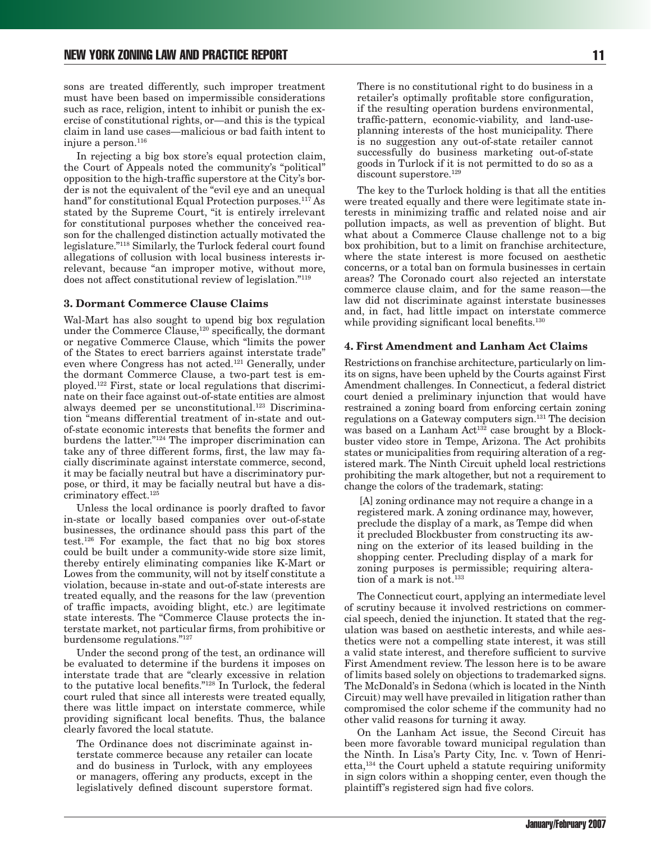sons are treated differently, such improper treatment must have been based on impermissible considerations such as race, religion, intent to inhibit or punish the exercise of constitutional rights, or—and this is the typical claim in land use cases—malicious or bad faith intent to injure a person.<sup>116</sup>

In rejecting a big box store's equal protection claim, the Court of Appeals noted the community's "political" opposition to the high-traffic superstore at the City's border is not the equivalent of the "evil eye and an unequal hand" for constitutional Equal Protection purposes.<sup>117</sup> As stated by the Supreme Court, "it is entirely irrelevant for constitutional purposes whether the conceived reason for the challenged distinction actually motivated the legislature."118 Similarly, the Turlock federal court found allegations of collusion with local business interests irrelevant, because "an improper motive, without more, does not affect constitutional review of legislation."119

#### **3. Dormant Commerce Clause Claims**

Wal-Mart has also sought to upend big box regulation under the Commerce Clause,<sup>120</sup> specifically, the dormant or negative Commerce Clause, which "limits the power of the States to erect barriers against interstate trade" even where Congress has not acted.121 Generally, under the dormant Commerce Clause, a two-part test is employed.122 First, state or local regulations that discriminate on their face against out-of-state entities are almost always deemed per se unconstitutional.123 Discrimination "means differential treatment of in-state and outof-state economic interests that benefits the former and burdens the latter."124 The improper discrimination can take any of three different forms, first, the law may facially discriminate against interstate commerce, second, it may be facially neutral but have a discriminatory purpose, or third, it may be facially neutral but have a discriminatory effect.<sup>125</sup>

Unless the local ordinance is poorly drafted to favor in-state or locally based companies over out-of-state businesses, the ordinance should pass this part of the test.126 For example, the fact that no big box stores could be built under a community-wide store size limit, thereby entirely eliminating companies like K-Mart or Lowes from the community, will not by itself constitute a violation, because in-state and out-of-state interests are treated equally, and the reasons for the law (prevention of traffic impacts, avoiding blight, etc.) are legitimate state interests. The "Commerce Clause protects the interstate market, not particular firms, from prohibitive or burdensome regulations."127

Under the second prong of the test, an ordinance will be evaluated to determine if the burdens it imposes on interstate trade that are "clearly excessive in relation to the putative local benefits."128 In Turlock, the federal court ruled that since all interests were treated equally, there was little impact on interstate commerce, while providing significant local benefits. Thus, the balance clearly favored the local statute.

The Ordinance does not discriminate against interstate commerce because any retailer can locate and do business in Turlock, with any employees or managers, offering any products, except in the legislatively defined discount superstore format.

There is no constitutional right to do business in a retailer's optimally profitable store configuration, if the resulting operation burdens environmental, traffic-pattern, economic-viability, and land-useplanning interests of the host municipality. There is no suggestion any out-of-state retailer cannot successfully do business marketing out-of-state goods in Turlock if it is not permitted to do so as a discount superstore.<sup>129</sup>

The key to the Turlock holding is that all the entities were treated equally and there were legitimate state interests in minimizing traffic and related noise and air pollution impacts, as well as prevention of blight. But what about a Commerce Clause challenge not to a big box prohibition, but to a limit on franchise architecture, where the state interest is more focused on aesthetic concerns, or a total ban on formula businesses in certain areas? The Coronado court also rejected an interstate commerce clause claim, and for the same reason—the law did not discriminate against interstate businesses and, in fact, had little impact on interstate commerce while providing significant local benefits.<sup>130</sup>

#### **4. First Amendment and Lanham Act Claims**

Restrictions on franchise architecture, particularly on limits on signs, have been upheld by the Courts against First Amendment challenges. In Connecticut, a federal district court denied a preliminary injunction that would have restrained a zoning board from enforcing certain zoning regulations on a Gateway computers sign.131 The decision was based on a Lanham Act<sup>132</sup> case brought by a Blockbuster video store in Tempe, Arizona. The Act prohibits states or municipalities from requiring alteration of a registered mark. The Ninth Circuit upheld local restrictions prohibiting the mark altogether, but not a requirement to change the colors of the trademark, stating:

 [A] zoning ordinance may not require a change in a registered mark. A zoning ordinance may, however, preclude the display of a mark, as Tempe did when it precluded Blockbuster from constructing its awning on the exterior of its leased building in the shopping center. Precluding display of a mark for zoning purposes is permissible; requiring alteration of a mark is not.<sup>133</sup>

The Connecticut court, applying an intermediate level of scrutiny because it involved restrictions on commercial speech, denied the injunction. It stated that the regulation was based on aesthetic interests, and while aesthetics were not a compelling state interest, it was still a valid state interest, and therefore sufficient to survive First Amendment review. The lesson here is to be aware of limits based solely on objections to trademarked signs. The McDonald's in Sedona (which is located in the Ninth Circuit) may well have prevailed in litigation rather than compromised the color scheme if the community had no other valid reasons for turning it away.

On the Lanham Act issue, the Second Circuit has been more favorable toward municipal regulation than the Ninth. In Lisa's Party City, Inc. v. Town of Henrietta,134 the Court upheld a statute requiring uniformity in sign colors within a shopping center, even though the plaintiff's registered sign had five colors.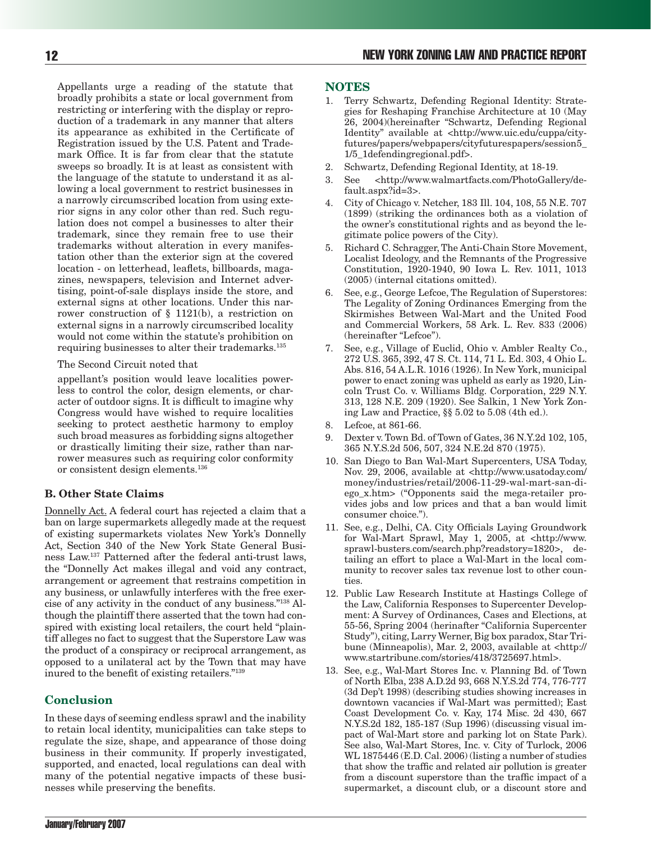Appellants urge a reading of the statute that broadly prohibits a state or local government from restricting or interfering with the display or reproduction of a trademark in any manner that alters its appearance as exhibited in the Certificate of Registration issued by the U.S. Patent and Trademark Office. It is far from clear that the statute sweeps so broadly. It is at least as consistent with the language of the statute to understand it as allowing a local government to restrict businesses in a narrowly circumscribed location from using exterior signs in any color other than red. Such regulation does not compel a businesses to alter their trademark, since they remain free to use their trademarks without alteration in every manifestation other than the exterior sign at the covered location - on letterhead, leaflets, billboards, magazines, newspapers, television and Internet advertising, point-of-sale displays inside the store, and external signs at other locations. Under this narrower construction of § 1121(b), a restriction on external signs in a narrowly circumscribed locality would not come within the statute's prohibition on requiring businesses to alter their trademarks.<sup>135</sup>

The Second Circuit noted that

appellant's position would leave localities powerless to control the color, design elements, or character of outdoor signs. It is difficult to imagine why Congress would have wished to require localities seeking to protect aesthetic harmony to employ such broad measures as forbidding signs altogether or drastically limiting their size, rather than narrower measures such as requiring color conformity or consistent design elements.136

## **B. Other State Claims**

Donnelly Act. A federal court has rejected a claim that a ban on large supermarkets allegedly made at the request of existing supermarkets violates New York's Donnelly Act, Section 340 of the New York State General Business Law.137 Patterned after the federal anti-trust laws, the "Donnelly Act makes illegal and void any contract, arrangement or agreement that restrains competition in any business, or unlawfully interferes with the free exercise of any activity in the conduct of any business."138 Although the plaintiff there asserted that the town had conspired with existing local retailers, the court held "plaintiff alleges no fact to suggest that the Superstore Law was the product of a conspiracy or reciprocal arrangement, as opposed to a unilateral act by the Town that may have inured to the benefit of existing retailers."139

# **Conclusion**

In these days of seeming endless sprawl and the inability to retain local identity, municipalities can take steps to regulate the size, shape, and appearance of those doing business in their community. If properly investigated, supported, and enacted, local regulations can deal with many of the potential negative impacts of these businesses while preserving the benefits.

#### **NOTES**

- 1. Terry Schwartz, Defending Regional Identity: Strategies for Reshaping Franchise Architecture at 10 (May 26, 2004)(hereinafter "Schwartz, Defending Regional Identity" available at <http://www.uic.edu/cuppa/cityfutures/papers/webpapers/cityfuturespapers/session5\_ 1/5\_1defendingregional.pdf>.
- 2. Schwartz, Defending Regional Identity, at 18-19.
- 3. See <http://www.walmartfacts.com/PhotoGallery/default.aspx?id=3>.
- 4. City of Chicago v. Netcher, 183 Ill. 104, 108, 55 N.E. 707 (1899) (striking the ordinances both as a violation of the owner's constitutional rights and as beyond the legitimate police powers of the City).
- 5. Richard C. Schragger, The Anti-Chain Store Movement, Localist Ideology, and the Remnants of the Progressive Constitution, 1920-1940, 90 Iowa L. Rev. 1011, 1013 (2005) (internal citations omitted).
- 6. See, e.g., George Lefcoe, The Regulation of Superstores: The Legality of Zoning Ordinances Emerging from the Skirmishes Between Wal-Mart and the United Food and Commercial Workers, 58 Ark. L. Rev. 833 (2006) (hereinafter "Lefcoe").
- 7. See, e.g., Village of Euclid, Ohio v. Ambler Realty Co., 272 U.S. 365, 392, 47 S. Ct. 114, 71 L. Ed. 303, 4 Ohio L. Abs. 816, 54 A.L.R. 1016 (1926). In New York, municipal power to enact zoning was upheld as early as 1920, Lincoln Trust Co. v. Williams Bldg. Corporation, 229 N.Y. 313, 128 N.E. 209 (1920). See Salkin, 1 New York Zoning Law and Practice, §§ 5.02 to 5.08 (4th ed.).
- 8. Lefcoe, at 861-66.
- 9. Dexter v. Town Bd. of Town of Gates, 36 N.Y.2d 102, 105, 365 N.Y.S.2d 506, 507, 324 N.E.2d 870 (1975).
- 10. San Diego to Ban Wal-Mart Supercenters, USA Today, Nov. 29, 2006, available at <http://www.usatoday.com/ money/industries/retail/2006-11-29-wal-mart-san-diego\_x.htm> ("Opponents said the mega-retailer provides jobs and low prices and that a ban would limit consumer choice.").
- 11. See, e.g., Delhi, CA. City Officials Laying Groundwork for Wal-Mart Sprawl, May 1, 2005, at <http://www. sprawl-busters.com/search.php?readstory=1820>, detailing an effort to place a Wal-Mart in the local community to recover sales tax revenue lost to other counties.
- 12. Public Law Research Institute at Hastings College of the Law, California Responses to Supercenter Development: A Survey of Ordinances, Cases and Elections, at 55-56, Spring 2004 (herinafter "California Supercenter Study"), citing, Larry Werner, Big box paradox, Star Tribune (Minneapolis), Mar. 2, 2003, available at <http:// www.startribune.com/stories/418/3725697.html>.
- 13. See, e.g., Wal-Mart Stores Inc. v. Planning Bd. of Town of North Elba, 238 A.D.2d 93, 668 N.Y.S.2d 774, 776-777 (3d Dep't 1998) (describing studies showing increases in downtown vacancies if Wal-Mart was permitted); East Coast Development Co. v. Kay, 174 Misc. 2d 430, 667 N.Y.S.2d 182, 185-187 (Sup 1996) (discussing visual impact of Wal-Mart store and parking lot on State Park). See also, Wal-Mart Stores, Inc. v. City of Turlock, 2006 WL 1875446 (E.D. Cal. 2006) (listing a number of studies that show the traffic and related air pollution is greater from a discount superstore than the traffic impact of a supermarket, a discount club, or a discount store and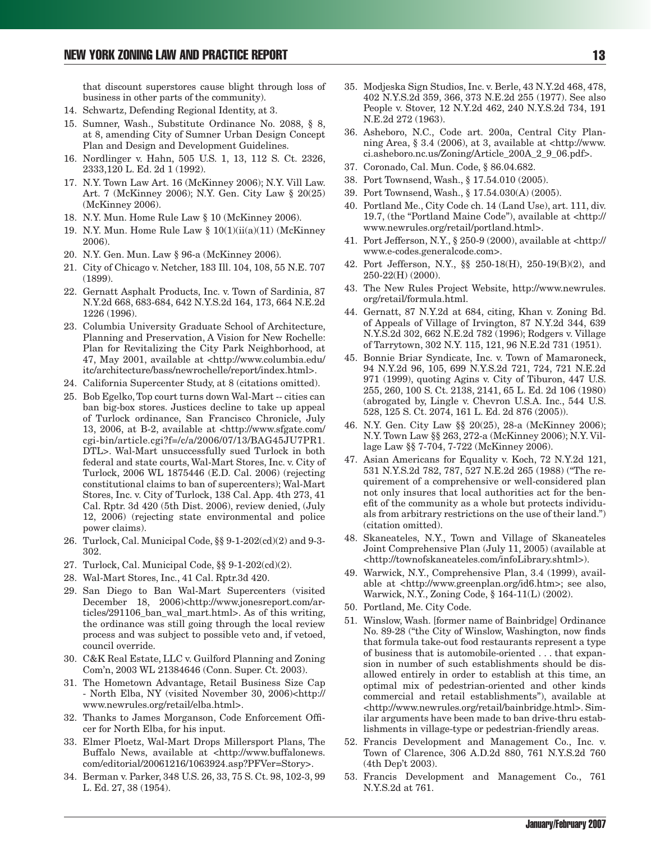that discount superstores cause blight through loss of business in other parts of the community).

- 14. Schwartz, Defending Regional Identity, at 3.
- 15. Sumner, Wash., Substitute Ordinance No. 2088, § 8, at 8, amending City of Sumner Urban Design Concept Plan and Design and Development Guidelines.
- 16. Nordlinger v. Hahn, 505 U.S. 1, 13, 112 S. Ct. 2326, 2333,120 L. Ed. 2d 1 (1992).
- 17. N.Y. Town Law Art. 16 (McKinney 2006); N.Y. Vill Law. Art. 7 (McKinney 2006); N.Y. Gen. City Law § 20(25) (McKinney 2006).
- 18. N.Y. Mun. Home Rule Law § 10 (McKinney 2006).
- 19. N.Y. Mun. Home Rule Law  $\S 10(1)(ii(a)(11)$  (McKinney 2006).
- 20. N.Y. Gen. Mun. Law § 96-a (McKinney 2006).
- 21. City of Chicago v. Netcher, 183 Ill. 104, 108, 55 N.E. 707 (1899).
- 22. Gernatt Asphalt Products, Inc. v. Town of Sardinia, 87 N.Y.2d 668, 683-684, 642 N.Y.S.2d 164, 173, 664 N.E.2d 1226 (1996).
- 23. Columbia University Graduate School of Architecture, Planning and Preservation, A Vision for New Rochelle: Plan for Revitalizing the City Park Neighborhood, at 47, May 2001, available at <http://www.columbia.edu/ itc/architecture/bass/newrochelle/report/index.html>.
- 24. California Supercenter Study, at 8 (citations omitted).
- 25. Bob Egelko, Top court turns down Wal-Mart -- cities can ban big-box stores. Justices decline to take up appeal of Turlock ordinance, San Francisco Chronicle, July 13, 2006, at B-2, available at <http://www.sfgate.com/ cgi-bin/article.cgi?f=/c/a/2006/07/13/BAG45JU7PR1. DTL>. Wal-Mart unsuccessfully sued Turlock in both federal and state courts, Wal-Mart Stores, Inc. v. City of Turlock, 2006 WL 1875446 (E.D. Cal. 2006) (rejecting constitutional claims to ban of supercenters); Wal-Mart Stores, Inc. v. City of Turlock, 138 Cal. App. 4th 273, 41 Cal. Rptr. 3d 420 (5th Dist. 2006), review denied, (July 12, 2006) (rejecting state environmental and police power claims).
- 26. Turlock, Cal. Municipal Code, §§ 9-1-202(cd)(2) and 9-3- 302.
- 27. Turlock, Cal. Municipal Code, §§ 9-1-202(cd)(2).
- 28. Wal-Mart Stores, Inc., 41 Cal. Rptr.3d 420.
- 29. San Diego to Ban Wal-Mart Supercenters (visited December 18, 2006)<http://www.jonesreport.com/articles/291106\_ban\_wal\_mart.html>. As of this writing, the ordinance was still going through the local review process and was subject to possible veto and, if vetoed, council override.
- 30. C&K Real Estate, LLC v. Guilford Planning and Zoning Com'n, 2003 WL 21384646 (Conn. Super. Ct. 2003).
- 31. The Hometown Advantage, Retail Business Size Cap - North Elba, NY (visited November 30, 2006)<http:// www.newrules.org/retail/elba.html>.
- 32. Thanks to James Morganson, Code Enforcement Officer for North Elba, for his input.
- 33. Elmer Ploetz, Wal-Mart Drops Millersport Plans, The Buffalo News, available at <http://www.buffalonews. com/editorial/20061216/1063924.asp?PFVer=Story>.
- 34. Berman v. Parker, 348 U.S. 26, 33, 75 S. Ct. 98, 102-3, 99 L. Ed. 27, 38 (1954).
- 35. Modjeska Sign Studios, Inc. v. Berle, 43 N.Y.2d 468, 478, 402 N.Y.S.2d 359, 366, 373 N.E.2d 255 (1977). See also People v. Stover, 12 N.Y.2d 462, 240 N.Y.S.2d 734, 191 N.E.2d 272 (1963).
- 36. Asheboro, N.C., Code art. 200a, Central City Planning Area, § 3.4 (2006), at 3, available at  $\langle \text{http://www.} \rangle$ ci.asheboro.nc.us/Zoning/Article\_200A\_2\_9\_06.pdf>.
- 37. Coronado, Cal. Mun. Code, § 86.04.682.
- 38. Port Townsend, Wash., § 17.54.010 (2005).
- 39. Port Townsend, Wash., § 17.54.030(A) (2005).
- 40. Portland Me., City Code ch. 14 (Land Use), art. 111, div. 19.7, (the "Portland Maine Code"), available at <http:// www.newrules.org/retail/portland.html>.
- 41. Port Jefferson, N.Y., § 250-9 (2000), available at <http:// www.e-codes.generalcode.com>.
- 42. Port Jefferson, N.Y., §§ 250-18(H), 250-19(B)(2), and 250-22(H) (2000).
- 43. The New Rules Project Website, http://www.newrules. org/retail/formula.html.
- 44. Gernatt, 87 N.Y.2d at 684, citing, Khan v. Zoning Bd. of Appeals of Village of Irvington, 87 N.Y.2d 344, 639 N.Y.S.2d 302, 662 N.E.2d 782 (1996); Rodgers v. Village of Tarrytown, 302 N.Y. 115, 121, 96 N.E.2d 731 (1951).
- 45. Bonnie Briar Syndicate, Inc. v. Town of Mamaroneck, 94 N.Y.2d 96, 105, 699 N.Y.S.2d 721, 724, 721 N.E.2d 971 (1999), quoting Agins v. City of Tiburon, 447 U.S. 255, 260, 100 S. Ct. 2138, 2141, 65 L. Ed. 2d 106 (1980) (abrogated by, Lingle v. Chevron U.S.A. Inc., 544 U.S. 528, 125 S. Ct. 2074, 161 L. Ed. 2d 876 (2005)).
- 46. N.Y. Gen. City Law §§ 20(25), 28-a (McKinney 2006); N.Y. Town Law §§ 263, 272-a (McKinney 2006); N.Y. Village Law §§ 7-704, 7-722 (McKinney 2006).
- 47. Asian Americans for Equality v. Koch, 72 N.Y.2d 121, 531 N.Y.S.2d 782, 787, 527 N.E.2d 265 (1988) ("The requirement of a comprehensive or well-considered plan not only insures that local authorities act for the benefit of the community as a whole but protects individuals from arbitrary restrictions on the use of their land.") (citation omitted).
- 48. Skaneateles, N.Y., Town and Village of Skaneateles Joint Comprehensive Plan (July 11, 2005) (available at <http://townofskaneateles.com/infoLibrary.shtml>).
- 49. Warwick, N.Y., Comprehensive Plan, 3.4 (1999), available at <http://www.greenplan.org/id6.htm>; see also, Warwick, N.Y., Zoning Code, § 164-11(L) (2002).
- 50. Portland, Me. City Code.
- 51. Winslow, Wash. [former name of Bainbridge] Ordinance No. 89-28 ("the City of Winslow, Washington, now finds that formula take-out food restaurants represent a type of business that is automobile-oriented . . . that expansion in number of such establishments should be disallowed entirely in order to establish at this time, an optimal mix of pedestrian-oriented and other kinds commercial and retail establishments"), available at <http://www.newrules.org/retail/bainbridge.html>. Similar arguments have been made to ban drive-thru establishments in village-type or pedestrian-friendly areas.
- 52. Francis Development and Management Co., Inc. v. Town of Clarence, 306 A.D.2d 880, 761 N.Y.S.2d 760 (4th Dep't 2003).
- 53. Francis Development and Management Co., 761 N.Y.S.2d at 761.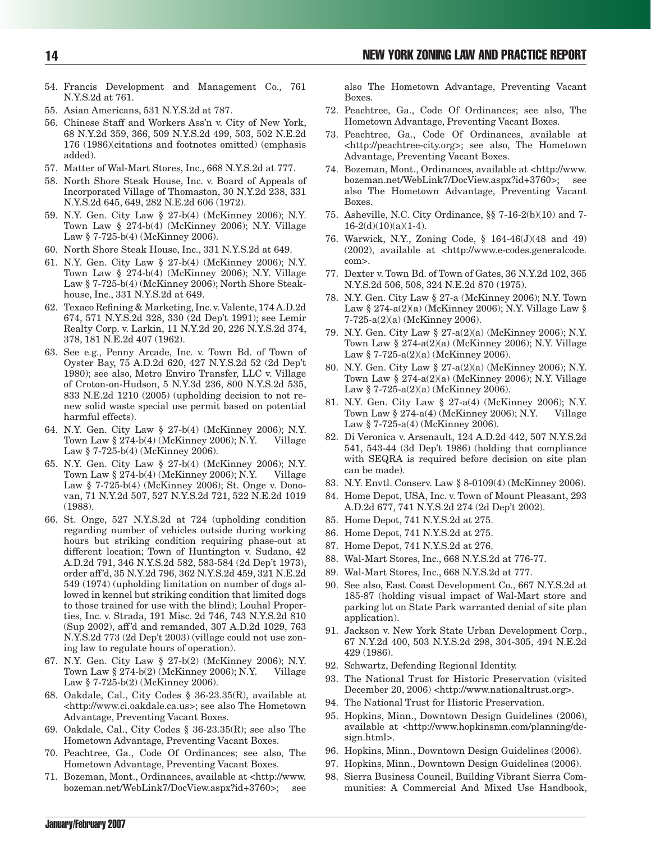- 54. Francis Development and Management Co., 761 N.Y.S.2d at 761.
- 55. Asian Americans, 531 N.Y.S.2d at 787.
- 56. Chinese Staff and Workers Ass'n v. City of New York, 68 N.Y.2d 359, 366, 509 N.Y.S.2d 499, 503, 502 N.E.2d 176 (1986)(citations and footnotes omitted) (emphasis added).
- 57. Matter of Wal-Mart Stores, Inc., 668 N.Y.S.2d at 777.
- 58. North Shore Steak House, Inc. v. Board of Appeals of Incorporated Village of Thomaston, 30 N.Y.2d 238, 331 N.Y.S.2d 645, 649, 282 N.E.2d 606 (1972).
- 59. N.Y. Gen. City Law § 27-b(4) (McKinney 2006); N.Y. Town Law § 274-b(4) (McKinney 2006); N.Y. Village Law § 7-725-b(4) (McKinney 2006).
- 60. North Shore Steak House, Inc., 331 N.Y.S.2d at 649.
- 61. N.Y. Gen. City Law § 27-b(4) (McKinney 2006); N.Y. Town Law § 274-b(4) (McKinney 2006); N.Y. Village Law § 7-725-b(4) (McKinney 2006); North Shore Steakhouse, Inc., 331 N.Y.S.2d at 649.
- 62. Texaco Refining & Marketing, Inc. v. Valente, 174 A.D.2d 674, 571 N.Y.S.2d 328, 330 (2d Dep't 1991); see Lemir Realty Corp. v. Larkin, 11 N.Y.2d 20, 226 N.Y.S.2d 374, 378, 181 N.E.2d 407 (1962).
- 63. See e.g., Penny Arcade, Inc. v. Town Bd. of Town of Oyster Bay, 75 A.D.2d 620, 427 N.Y.S.2d 52 (2d Dep't 1980); see also, Metro Enviro Transfer, LLC v. Village of Croton-on-Hudson, 5 N.Y.3d 236, 800 N.Y.S.2d 535, 833 N.E.2d 1210 (2005) (upholding decision to not renew solid waste special use permit based on potential harmful effects).
- 64. N.Y. Gen. City Law § 27-b(4) (McKinney 2006); N.Y. Town Law  $\S 274-b(4)$  (McKinney 2006); N.Y. Village Law § 7-725-b(4) (McKinney 2006).
- 65. N.Y. Gen. City Law § 27-b(4) (McKinney 2006); N.Y. Town Law  $\S 274-b(4)$  (McKinney 2006); N.Y. Village Law § 7-725-b(4) (McKinney 2006); St. Onge v. Donovan, 71 N.Y.2d 507, 527 N.Y.S.2d 721, 522 N.E.2d 1019 (1988).
- 66. St. Onge, 527 N.Y.S.2d at 724 (upholding condition regarding number of vehicles outside during working hours but striking condition requiring phase-out at different location; Town of Huntington v. Sudano, 42 A.D.2d 791, 346 N.Y.S.2d 582, 583-584 (2d Dep't 1973), order aff'd, 35 N.Y.2d 796, 362 N.Y.S.2d 459, 321 N.E.2d 549 (1974) (upholding limitation on number of dogs allowed in kennel but striking condition that limited dogs to those trained for use with the blind); Louhal Properties, Inc. v. Strada, 191 Misc. 2d 746, 743 N.Y.S.2d 810 (Sup 2002), aff'd and remanded, 307 A.D.2d 1029, 763 N.Y.S.2d 773 (2d Dep't 2003) (village could not use zoning law to regulate hours of operation).
- 67. N.Y. Gen. City Law § 27-b(2) (McKinney 2006); N.Y. Town Law § 274-b(2) (McKinney 2006); N.Y. Village Law § 7-725-b(2) (McKinney 2006).
- 68. Oakdale, Cal., City Codes § 36-23.35(R), available at <http://www.ci.oakdale.ca.us>; see also The Hometown Advantage, Preventing Vacant Boxes.
- 69. Oakdale, Cal., City Codes § 36-23.35(R); see also The Hometown Advantage, Preventing Vacant Boxes.
- 70. Peachtree, Ga., Code Of Ordinances; see also, The Hometown Advantage, Preventing Vacant Boxes.
- 71. Bozeman, Mont., Ordinances, available at <http://www. bozeman.net/WebLink7/DocView.aspx?id+3760>; see

also The Hometown Advantage, Preventing Vacant Boxes.

- 72. Peachtree, Ga., Code Of Ordinances; see also, The Hometown Advantage, Preventing Vacant Boxes.
- 73. Peachtree, Ga., Code Of Ordinances, available at <http://peachtree-city.org>; see also, The Hometown Advantage, Preventing Vacant Boxes.
- 74. Bozeman, Mont., Ordinances, available at <http://www. bozeman.net/WebLink7/DocView.aspx?id+3760>; see also The Hometown Advantage, Preventing Vacant Boxes.
- 75. Asheville, N.C. City Ordinance, §§ 7-16-2(b)(10) and 7-  $16-2(d)(10)(a)(1-4)$ .
- 76. Warwick, N.Y., Zoning Code, § 164-46(J)(48 and 49) (2002), available at <http://www.e-codes.generalcode. com>.
- 77. Dexter v. Town Bd. of Town of Gates, 36 N.Y.2d 102, 365 N.Y.S.2d 506, 508, 324 N.E.2d 870 (1975).
- 78. N.Y. Gen. City Law § 27-a (McKinney 2006); N.Y. Town Law § 274-a(2)(a) (McKinney 2006); N.Y. Village Law § 7-725-a(2)(a) (McKinney 2006).
- 79. N.Y. Gen. City Law § 27-a(2)(a) (McKinney 2006); N.Y. Town Law § 274-a(2)(a) (McKinney 2006); N.Y. Village Law § 7-725-a(2)(a) (McKinney 2006).
- 80. N.Y. Gen. City Law § 27-a(2)(a) (McKinney 2006); N.Y. Town Law § 274-a(2)(a) (McKinney 2006); N.Y. Village Law  $\frac{6}{9}$  7-725-a(2)(a) (McKinney 2006).
- 81. N.Y. Gen. City Law § 27-a(4) (McKinney 2006); N.Y. Town Law  $§ 274-a(4)$  (McKinney 2006); N.Y. Village Law § 7-725-a(4) (McKinney 2006).
- 82. Di Veronica v. Arsenault, 124 A.D.2d 442, 507 N.Y.S.2d 541, 543-44 (3d Dep't 1986) (holding that compliance with SEQRA is required before decision on site plan can be made).
- 83. N.Y. Envtl. Conserv. Law § 8-0109(4) (McKinney 2006).
- 84. Home Depot, USA, Inc. v. Town of Mount Pleasant, 293 A.D.2d 677, 741 N.Y.S.2d 274 (2d Dep't 2002).
- 85. Home Depot, 741 N.Y.S.2d at 275.
- 86. Home Depot, 741 N.Y.S.2d at 275.
- 87. Home Depot, 741 N.Y.S.2d at 276.
- 88. Wal-Mart Stores, Inc., 668 N.Y.S.2d at 776-77.
- 89. Wal-Mart Stores, Inc., 668 N.Y.S.2d at 777.
- 90. See also, East Coast Development Co., 667 N.Y.S.2d at 185-87 (holding visual impact of Wal-Mart store and parking lot on State Park warranted denial of site plan application).
- 91. Jackson v. New York State Urban Development Corp., 67 N.Y.2d 400, 503 N.Y.S.2d 298, 304-305, 494 N.E.2d 429 (1986).
- 92. Schwartz, Defending Regional Identity.
- 93. The National Trust for Historic Preservation (visited December 20, 2006) <http://www.nationaltrust.org>.
- 94. The National Trust for Historic Preservation.
- 95. Hopkins, Minn., Downtown Design Guidelines (2006), available at <http://www.hopkinsmn.com/planning/design.html>.
- 96. Hopkins, Minn., Downtown Design Guidelines (2006).
- 97. Hopkins, Minn., Downtown Design Guidelines (2006).
- 98. Sierra Business Council, Building Vibrant Sierra Communities: A Commercial And Mixed Use Handbook,